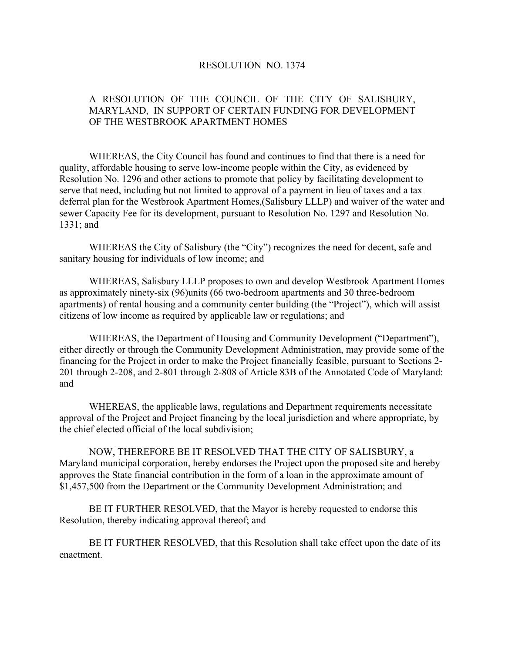## RESOLUTION NO. 1374

## A RESOLUTION OF THE COUNCIL OF THE CITY OF SALISBURY, MARYLAND, IN SUPPORT OF CERTAIN FUNDING FOR DEVELOPMENT OF THE WESTBROOK APARTMENT HOMES

 WHEREAS, the City Council has found and continues to find that there is a need for quality, affordable housing to serve low-income people within the City, as evidenced by Resolution No. 1296 and other actions to promote that policy by facilitating development to serve that need, including but not limited to approval of a payment in lieu of taxes and a tax deferral plan for the Westbrook Apartment Homes,(Salisbury LLLP) and waiver of the water and sewer Capacity Fee for its development, pursuant to Resolution No. 1297 and Resolution No. 1331; and

 WHEREAS the City of Salisbury (the "City") recognizes the need for decent, safe and sanitary housing for individuals of low income; and

 WHEREAS, Salisbury LLLP proposes to own and develop Westbrook Apartment Homes as approximately ninety-six (96)units (66 two-bedroom apartments and 30 three-bedroom apartments) of rental housing and a community center building (the "Project"), which will assist citizens of low income as required by applicable law or regulations; and

 WHEREAS, the Department of Housing and Community Development ("Department"), either directly or through the Community Development Administration, may provide some of the financing for the Project in order to make the Project financially feasible, pursuant to Sections 2- 201 through 2-208, and 2-801 through 2-808 of Article 83B of the Annotated Code of Maryland: and

 WHEREAS, the applicable laws, regulations and Department requirements necessitate approval of the Project and Project financing by the local jurisdiction and where appropriate, by the chief elected official of the local subdivision;

 NOW, THEREFORE BE IT RESOLVED THAT THE CITY OF SALISBURY, a Maryland municipal corporation, hereby endorses the Project upon the proposed site and hereby approves the State financial contribution in the form of a loan in the approximate amount of \$1,457,500 from the Department or the Community Development Administration; and

 BE IT FURTHER RESOLVED, that the Mayor is hereby requested to endorse this Resolution, thereby indicating approval thereof; and

 BE IT FURTHER RESOLVED, that this Resolution shall take effect upon the date of its enactment.